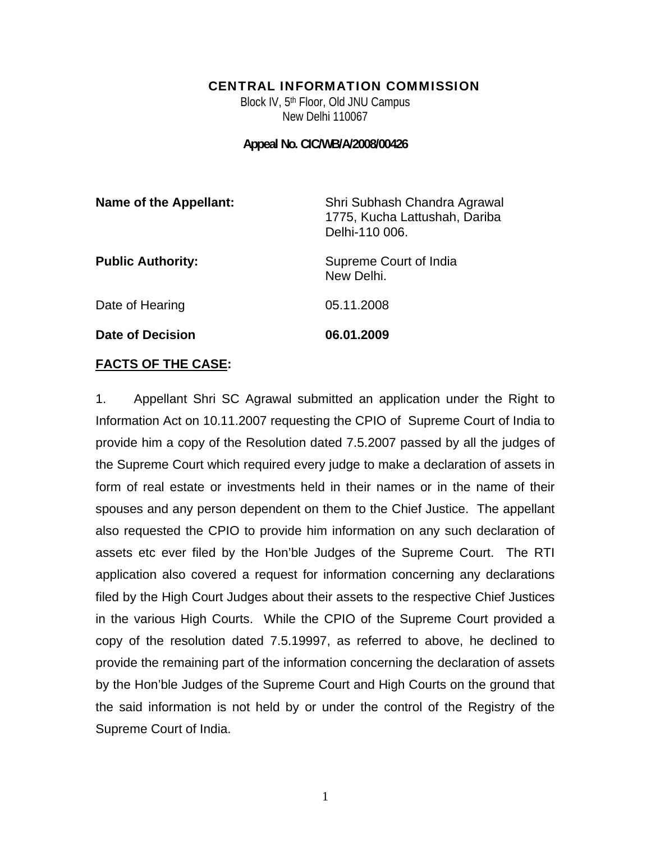#### CENTRAL INFORMATION COMMISSION

Block IV, 5<sup>th</sup> Floor, Old JNU Campus New Delhi 110067

**Appeal No. CIC/WB/A/2008/00426** 

| <b>Name of the Appellant:</b> | Shri Subhash Chandra Agrawal<br>1775, Kucha Lattushah, Dariba<br>Delhi-110 006. |
|-------------------------------|---------------------------------------------------------------------------------|
| <b>Public Authority:</b>      | Supreme Court of India<br>New Delhi.                                            |
| Date of Hearing               | 05.11.2008                                                                      |
| Date of Decision              | 06.01.2009                                                                      |

#### **FACTS OF THE CASE:**

1. Appellant Shri SC Agrawal submitted an application under the Right to Information Act on 10.11.2007 requesting the CPIO of Supreme Court of India to provide him a copy of the Resolution dated 7.5.2007 passed by all the judges of the Supreme Court which required every judge to make a declaration of assets in form of real estate or investments held in their names or in the name of their spouses and any person dependent on them to the Chief Justice. The appellant also requested the CPIO to provide him information on any such declaration of assets etc ever filed by the Hon'ble Judges of the Supreme Court. The RTI application also covered a request for information concerning any declarations filed by the High Court Judges about their assets to the respective Chief Justices in the various High Courts. While the CPIO of the Supreme Court provided a copy of the resolution dated 7.5.19997, as referred to above, he declined to provide the remaining part of the information concerning the declaration of assets by the Hon'ble Judges of the Supreme Court and High Courts on the ground that the said information is not held by or under the control of the Registry of the Supreme Court of India.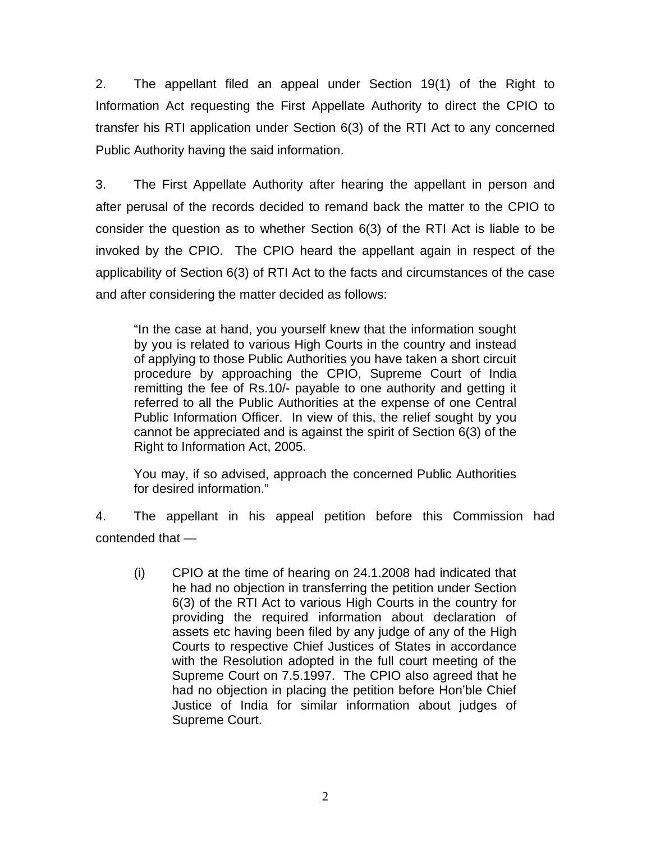2. The appellant filed an appeal under Section 19(1) of the Right to Information Act requesting the First Appellate Authority to direct the CPIO to transfer his RTI application under Section 6(3) of the RTI Act to any concerned Public Authority having the said information.

3. The First Appellate Authority after hearing the appellant in person and after perusal of the records decided to remand back the matter to the CPIO to consider the question as to whether Section 6(3) of the RTI Act is liable to be invoked by the CPIO. The CPIO heard the appellant again in respect of the applicability of Section 6(3) of RTI Act to the facts and circumstances of the case and after considering the matter decided as follows:

"In the case at hand, you yourself knew that the information sought by you is related to various High Courts in the country and instead of applying to those Public Authorities you have taken a short circuit procedure by approaching the CPIO, Supreme Court of India remitting the fee of Rs.10/- payable to one authority and getting it referred to all the Public Authorities at the expense of one Central Public Information Officer. In view of this, the relief sought by you cannot be appreciated and is against the spirit of Section 6(3) of the Right to Information Act, 2005.

You may, if so advised, approach the concerned Public Authorities for desired information."

4. The appellant in his appeal petition before this Commission had contended that —

(i) CPIO at the time of hearing on 24.1.2008 had indicated that he had no objection in transferring the petition under Section 6(3) of the RTI Act to various High Courts in the country for providing the required information about declaration of assets etc having been filed by any judge of any of the High Courts to respective Chief Justices of States in accordance with the Resolution adopted in the full court meeting of the Supreme Court on 7.5.1997. The CPIO also agreed that he had no objection in placing the petition before Hon'ble Chief Justice of India for similar information about judges of Supreme Court.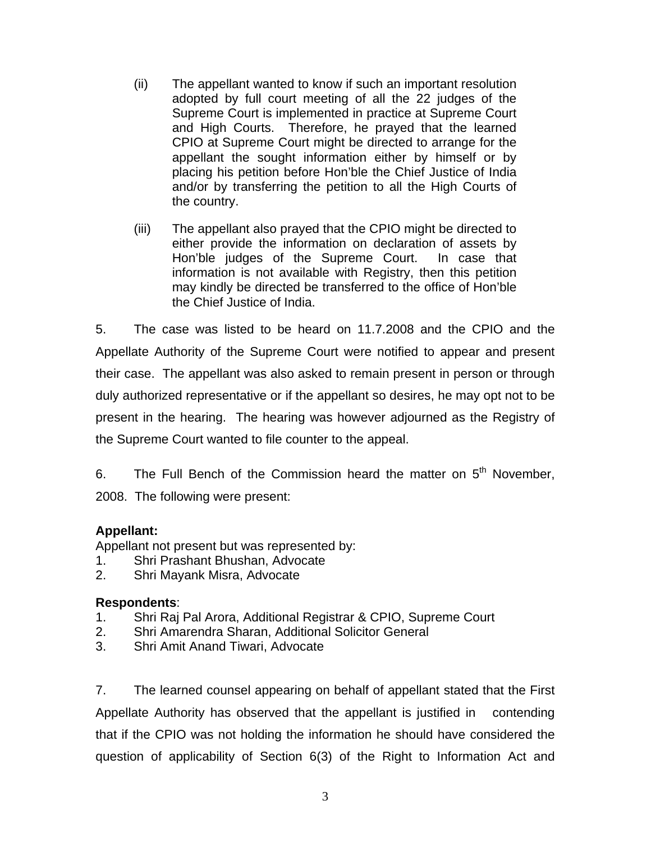- (ii) The appellant wanted to know if such an important resolution adopted by full court meeting of all the 22 judges of the Supreme Court is implemented in practice at Supreme Court and High Courts. Therefore, he prayed that the learned CPIO at Supreme Court might be directed to arrange for the appellant the sought information either by himself or by placing his petition before Hon'ble the Chief Justice of India and/or by transferring the petition to all the High Courts of the country.
- (iii) The appellant also prayed that the CPIO might be directed to either provide the information on declaration of assets by Hon'ble judges of the Supreme Court. In case that information is not available with Registry, then this petition may kindly be directed be transferred to the office of Hon'ble the Chief Justice of India.

5. The case was listed to be heard on 11.7.2008 and the CPIO and the Appellate Authority of the Supreme Court were notified to appear and present their case. The appellant was also asked to remain present in person or through duly authorized representative or if the appellant so desires, he may opt not to be present in the hearing. The hearing was however adjourned as the Registry of the Supreme Court wanted to file counter to the appeal.

6. The Full Bench of the Commission heard the matter on  $5<sup>th</sup>$  November. 2008. The following were present:

# **Appellant:**

Appellant not present but was represented by:

- 1. Shri Prashant Bhushan, Advocate
- 2. Shri Mayank Misra, Advocate

## **Respondents**:

- 1. Shri Raj Pal Arora, Additional Registrar & CPIO, Supreme Court
- 2. Shri Amarendra Sharan, Additional Solicitor General
- 3. Shri Amit Anand Tiwari, Advocate

7. The learned counsel appearing on behalf of appellant stated that the First Appellate Authority has observed that the appellant is justified in contending that if the CPIO was not holding the information he should have considered the question of applicability of Section 6(3) of the Right to Information Act and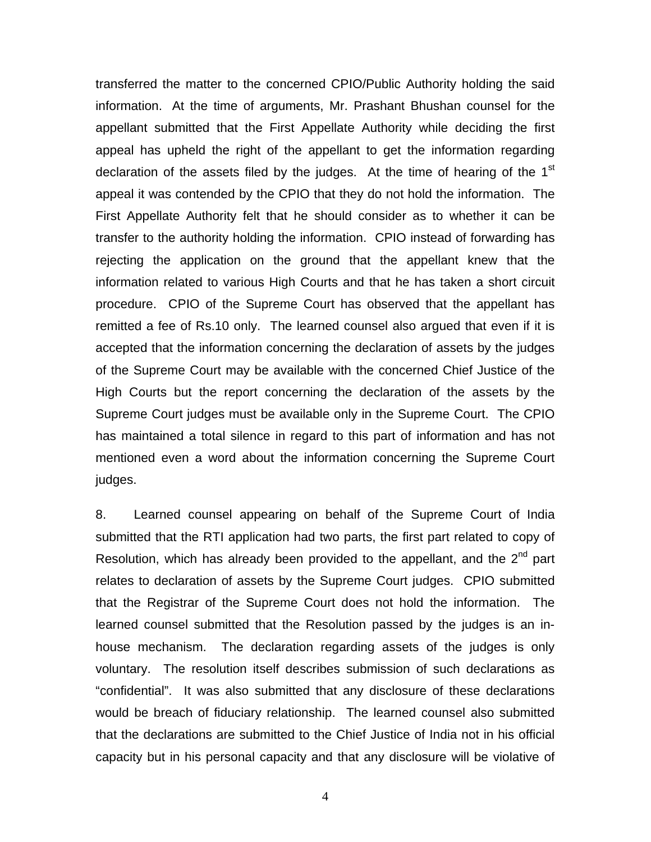transferred the matter to the concerned CPIO/Public Authority holding the said information. At the time of arguments, Mr. Prashant Bhushan counsel for the appellant submitted that the First Appellate Authority while deciding the first appeal has upheld the right of the appellant to get the information regarding declaration of the assets filed by the judges. At the time of hearing of the  $1<sup>st</sup>$ appeal it was contended by the CPIO that they do not hold the information. The First Appellate Authority felt that he should consider as to whether it can be transfer to the authority holding the information. CPIO instead of forwarding has rejecting the application on the ground that the appellant knew that the information related to various High Courts and that he has taken a short circuit procedure. CPIO of the Supreme Court has observed that the appellant has remitted a fee of Rs.10 only. The learned counsel also argued that even if it is accepted that the information concerning the declaration of assets by the judges of the Supreme Court may be available with the concerned Chief Justice of the High Courts but the report concerning the declaration of the assets by the Supreme Court judges must be available only in the Supreme Court. The CPIO has maintained a total silence in regard to this part of information and has not mentioned even a word about the information concerning the Supreme Court judges.

8. Learned counsel appearing on behalf of the Supreme Court of India submitted that the RTI application had two parts, the first part related to copy of Resolution, which has already been provided to the appellant, and the  $2<sup>nd</sup>$  part relates to declaration of assets by the Supreme Court judges. CPIO submitted that the Registrar of the Supreme Court does not hold the information. The learned counsel submitted that the Resolution passed by the judges is an inhouse mechanism. The declaration regarding assets of the judges is only voluntary. The resolution itself describes submission of such declarations as "confidential". It was also submitted that any disclosure of these declarations would be breach of fiduciary relationship. The learned counsel also submitted that the declarations are submitted to the Chief Justice of India not in his official capacity but in his personal capacity and that any disclosure will be violative of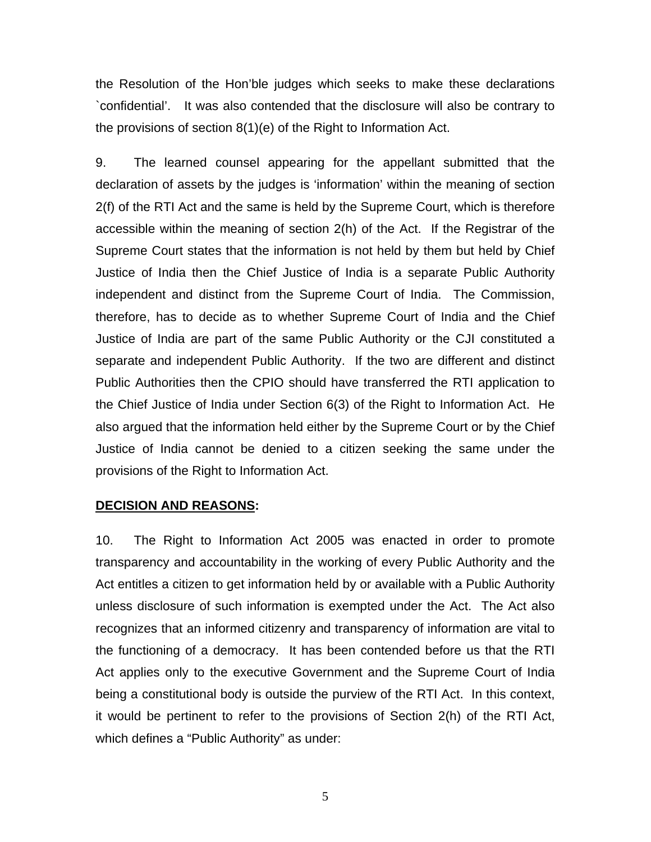the Resolution of the Hon'ble judges which seeks to make these declarations `confidential'. It was also contended that the disclosure will also be contrary to the provisions of section 8(1)(e) of the Right to Information Act.

9. The learned counsel appearing for the appellant submitted that the declaration of assets by the judges is 'information' within the meaning of section 2(f) of the RTI Act and the same is held by the Supreme Court, which is therefore accessible within the meaning of section 2(h) of the Act. If the Registrar of the Supreme Court states that the information is not held by them but held by Chief Justice of India then the Chief Justice of India is a separate Public Authority independent and distinct from the Supreme Court of India. The Commission, therefore, has to decide as to whether Supreme Court of India and the Chief Justice of India are part of the same Public Authority or the CJI constituted a separate and independent Public Authority. If the two are different and distinct Public Authorities then the CPIO should have transferred the RTI application to the Chief Justice of India under Section 6(3) of the Right to Information Act. He also argued that the information held either by the Supreme Court or by the Chief Justice of India cannot be denied to a citizen seeking the same under the provisions of the Right to Information Act.

#### **DECISION AND REASONS:**

10. The Right to Information Act 2005 was enacted in order to promote transparency and accountability in the working of every Public Authority and the Act entitles a citizen to get information held by or available with a Public Authority unless disclosure of such information is exempted under the Act. The Act also recognizes that an informed citizenry and transparency of information are vital to the functioning of a democracy. It has been contended before us that the RTI Act applies only to the executive Government and the Supreme Court of India being a constitutional body is outside the purview of the RTI Act. In this context, it would be pertinent to refer to the provisions of Section 2(h) of the RTI Act, which defines a "Public Authority" as under: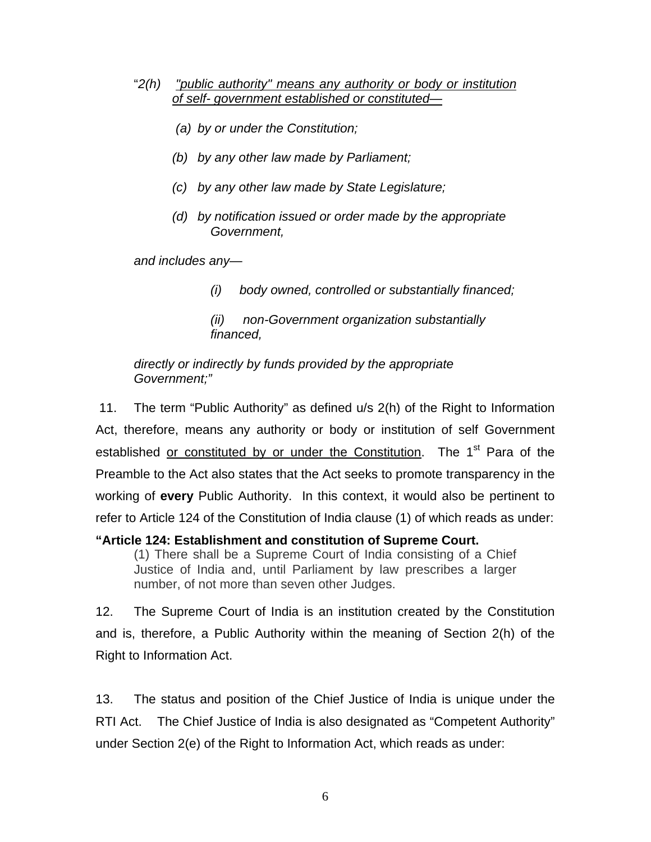- "*2(h) "public authority" means any authority or body or institution of self- government established or constituted—*
	- *(a) by or under the Constitution;*
	- *(b) by any other law made by Parliament;*
	- *(c) by any other law made by State Legislature;*
	- *(d) by notification issued or order made by the appropriate Government,*

*and includes any—* 

 *(i) body owned, controlled or substantially financed;* 

 *(ii) non-Government organization substantially financed,* 

*directly or indirectly by funds provided by the appropriate Government;"* 

 11. The term "Public Authority" as defined u/s 2(h) of the Right to Information Act, therefore, means any authority or body or institution of self Government established or constituted by or under the Constitution. The 1<sup>st</sup> Para of the Preamble to the Act also states that the Act seeks to promote transparency in the working of **every** Public Authority. In this context, it would also be pertinent to refer to Article 124 of the Constitution of India clause (1) of which reads as under:

## **"Article 124: Establishment and constitution of Supreme Court.**

(1) There shall be a Supreme Court of India consisting of a Chief Justice of India and, until Parliament by law prescribes a larger number, of not more than seven other Judges.

12. The Supreme Court of India is an institution created by the Constitution and is, therefore, a Public Authority within the meaning of Section 2(h) of the Right to Information Act.

13. The status and position of the Chief Justice of India is unique under the RTI Act. The Chief Justice of India is also designated as "Competent Authority" under Section 2(e) of the Right to Information Act, which reads as under: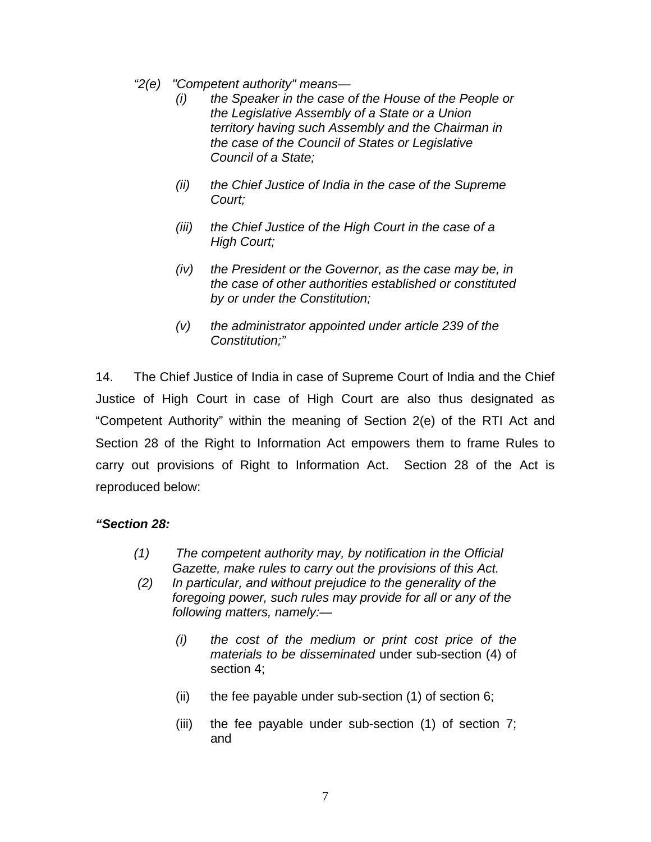- *"2(e) "Competent authority" means—* 
	- *(i) the Speaker in the case of the House of the People or the Legislative Assembly of a State or a Union territory having such Assembly and the Chairman in the case of the Council of States or Legislative Council of a State;*
	- *(ii) the Chief Justice of India in the case of the Supreme Court;*
	- *(iii) the Chief Justice of the High Court in the case of a High Court;*
	- *(iv) the President or the Governor, as the case may be, in the case of other authorities established or constituted by or under the Constitution;*
	- *(v) the administrator appointed under article 239 of the Constitution;"*

14. The Chief Justice of India in case of Supreme Court of India and the Chief Justice of High Court in case of High Court are also thus designated as "Competent Authority" within the meaning of Section 2(e) of the RTI Act and Section 28 of the Right to Information Act empowers them to frame Rules to carry out provisions of Right to Information Act. Section 28 of the Act is reproduced below:

# *"Section 28:*

- *(1) The competent authority may, by notification in the Official Gazette, make rules to carry out the provisions of this Act.*
- *(2) In particular, and without prejudice to the generality of the foregoing power, such rules may provide for all or any of the following matters, namely:—* 
	- *(i) the cost of the medium or print cost price of the materials to be disseminated* under sub-section (4) of section 4;
	- (ii) the fee payable under sub-section  $(1)$  of section 6;
	- (iii) the fee payable under sub-section (1) of section 7; and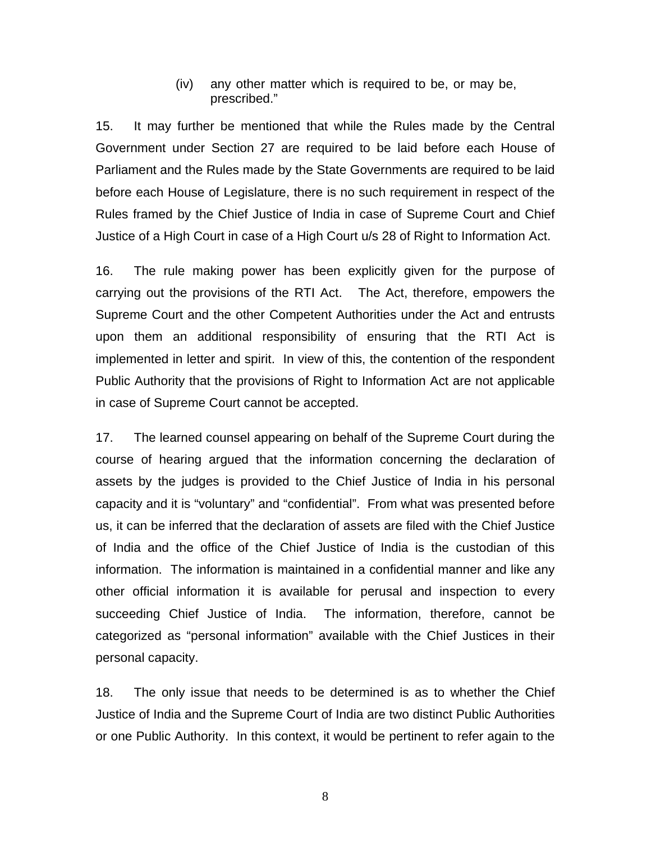(iv) any other matter which is required to be, or may be, prescribed."

15. It may further be mentioned that while the Rules made by the Central Government under Section 27 are required to be laid before each House of Parliament and the Rules made by the State Governments are required to be laid before each House of Legislature, there is no such requirement in respect of the Rules framed by the Chief Justice of India in case of Supreme Court and Chief Justice of a High Court in case of a High Court u/s 28 of Right to Information Act.

16. The rule making power has been explicitly given for the purpose of carrying out the provisions of the RTI Act. The Act, therefore, empowers the Supreme Court and the other Competent Authorities under the Act and entrusts upon them an additional responsibility of ensuring that the RTI Act is implemented in letter and spirit. In view of this, the contention of the respondent Public Authority that the provisions of Right to Information Act are not applicable in case of Supreme Court cannot be accepted.

17. The learned counsel appearing on behalf of the Supreme Court during the course of hearing argued that the information concerning the declaration of assets by the judges is provided to the Chief Justice of India in his personal capacity and it is "voluntary" and "confidential". From what was presented before us, it can be inferred that the declaration of assets are filed with the Chief Justice of India and the office of the Chief Justice of India is the custodian of this information. The information is maintained in a confidential manner and like any other official information it is available for perusal and inspection to every succeeding Chief Justice of India. The information, therefore, cannot be categorized as "personal information" available with the Chief Justices in their personal capacity.

18. The only issue that needs to be determined is as to whether the Chief Justice of India and the Supreme Court of India are two distinct Public Authorities or one Public Authority. In this context, it would be pertinent to refer again to the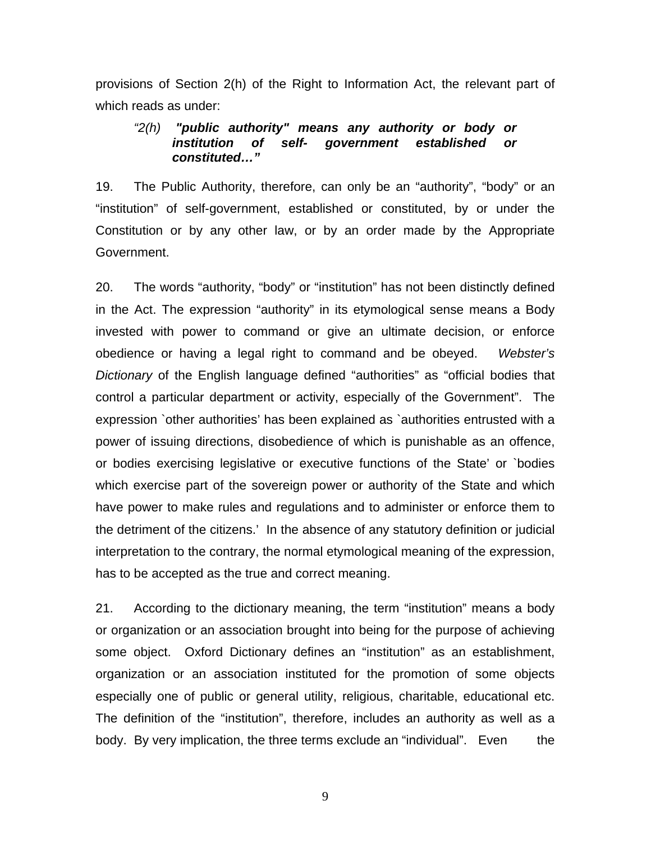provisions of Section 2(h) of the Right to Information Act, the relevant part of which reads as under:

### *"2(h) "public authority" means any authority or body or institution of self- government established or constituted…"*

19. The Public Authority, therefore, can only be an "authority", "body" or an "institution" of self-government, established or constituted, by or under the Constitution or by any other law, or by an order made by the Appropriate Government.

20. The words "authority, "body" or "institution" has not been distinctly defined in the Act. The expression "authority" in its etymological sense means a Body invested with power to command or give an ultimate decision, or enforce obedience or having a legal right to command and be obeyed. *Webster's Dictionary* of the English language defined "authorities" as "official bodies that control a particular department or activity, especially of the Government". The expression `other authorities' has been explained as `authorities entrusted with a power of issuing directions, disobedience of which is punishable as an offence, or bodies exercising legislative or executive functions of the State' or `bodies which exercise part of the sovereign power or authority of the State and which have power to make rules and regulations and to administer or enforce them to the detriment of the citizens.' In the absence of any statutory definition or judicial interpretation to the contrary, the normal etymological meaning of the expression, has to be accepted as the true and correct meaning.

21. According to the dictionary meaning, the term "institution" means a body or organization or an association brought into being for the purpose of achieving some object. Oxford Dictionary defines an "institution" as an establishment, organization or an association instituted for the promotion of some objects especially one of public or general utility, religious, charitable, educational etc. The definition of the "institution", therefore, includes an authority as well as a body. By very implication, the three terms exclude an "individual". Even the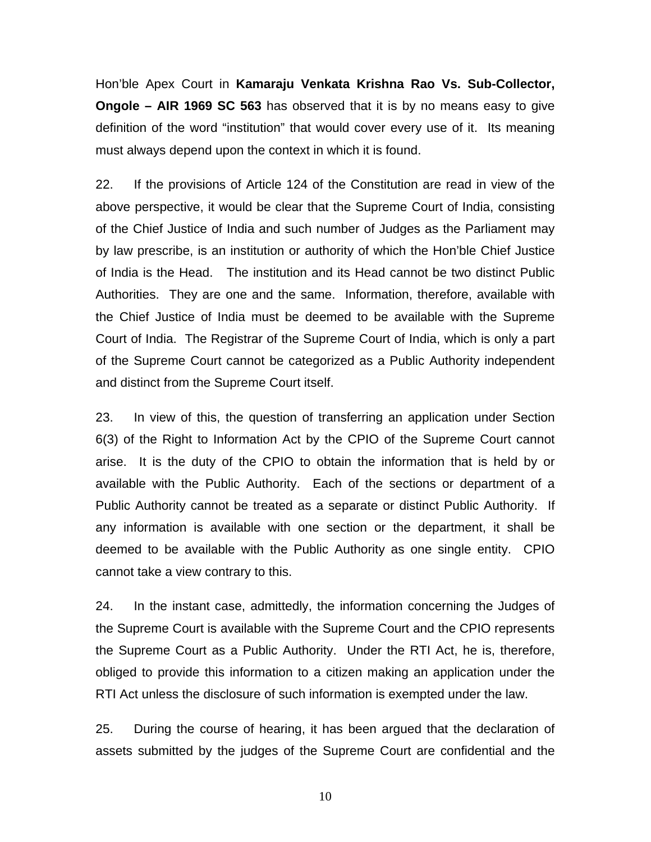Hon'ble Apex Court in **Kamaraju Venkata Krishna Rao Vs. Sub-Collector, Ongole – AIR 1969 SC 563** has observed that it is by no means easy to give definition of the word "institution" that would cover every use of it. Its meaning must always depend upon the context in which it is found.

22. If the provisions of Article 124 of the Constitution are read in view of the above perspective, it would be clear that the Supreme Court of India, consisting of the Chief Justice of India and such number of Judges as the Parliament may by law prescribe, is an institution or authority of which the Hon'ble Chief Justice of India is the Head. The institution and its Head cannot be two distinct Public Authorities. They are one and the same. Information, therefore, available with the Chief Justice of India must be deemed to be available with the Supreme Court of India. The Registrar of the Supreme Court of India, which is only a part of the Supreme Court cannot be categorized as a Public Authority independent and distinct from the Supreme Court itself.

23. In view of this, the question of transferring an application under Section 6(3) of the Right to Information Act by the CPIO of the Supreme Court cannot arise. It is the duty of the CPIO to obtain the information that is held by or available with the Public Authority. Each of the sections or department of a Public Authority cannot be treated as a separate or distinct Public Authority. If any information is available with one section or the department, it shall be deemed to be available with the Public Authority as one single entity. CPIO cannot take a view contrary to this.

24. In the instant case, admittedly, the information concerning the Judges of the Supreme Court is available with the Supreme Court and the CPIO represents the Supreme Court as a Public Authority. Under the RTI Act, he is, therefore, obliged to provide this information to a citizen making an application under the RTI Act unless the disclosure of such information is exempted under the law.

25. During the course of hearing, it has been argued that the declaration of assets submitted by the judges of the Supreme Court are confidential and the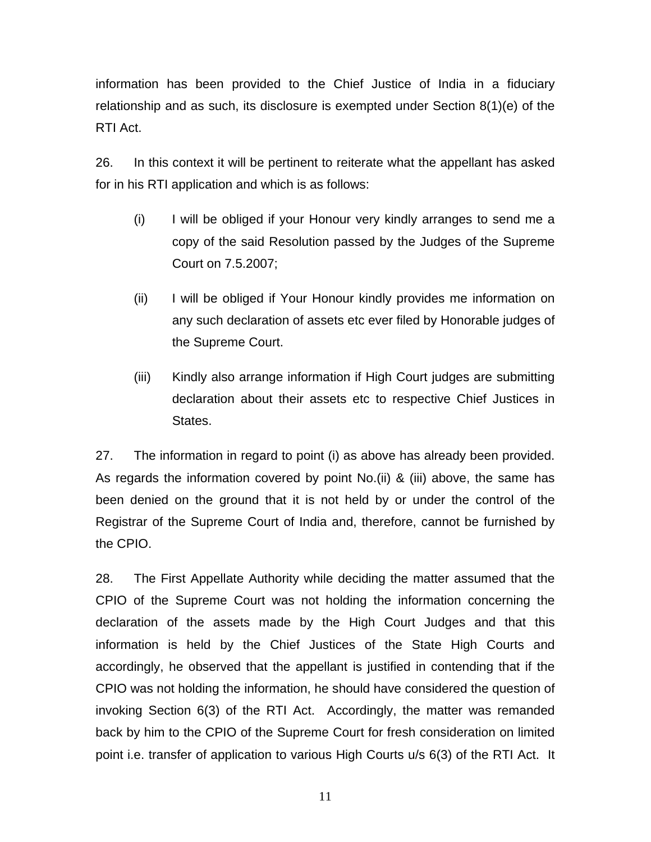information has been provided to the Chief Justice of India in a fiduciary relationship and as such, its disclosure is exempted under Section 8(1)(e) of the RTI Act.

26. In this context it will be pertinent to reiterate what the appellant has asked for in his RTI application and which is as follows:

- (i) I will be obliged if your Honour very kindly arranges to send me a copy of the said Resolution passed by the Judges of the Supreme Court on 7.5.2007;
- (ii) I will be obliged if Your Honour kindly provides me information on any such declaration of assets etc ever filed by Honorable judges of the Supreme Court.
- (iii) Kindly also arrange information if High Court judges are submitting declaration about their assets etc to respective Chief Justices in States.

27. The information in regard to point (i) as above has already been provided. As regards the information covered by point No.(ii) & (iii) above, the same has been denied on the ground that it is not held by or under the control of the Registrar of the Supreme Court of India and, therefore, cannot be furnished by the CPIO.

28. The First Appellate Authority while deciding the matter assumed that the CPIO of the Supreme Court was not holding the information concerning the declaration of the assets made by the High Court Judges and that this information is held by the Chief Justices of the State High Courts and accordingly, he observed that the appellant is justified in contending that if the CPIO was not holding the information, he should have considered the question of invoking Section 6(3) of the RTI Act. Accordingly, the matter was remanded back by him to the CPIO of the Supreme Court for fresh consideration on limited point i.e. transfer of application to various High Courts u/s 6(3) of the RTI Act. It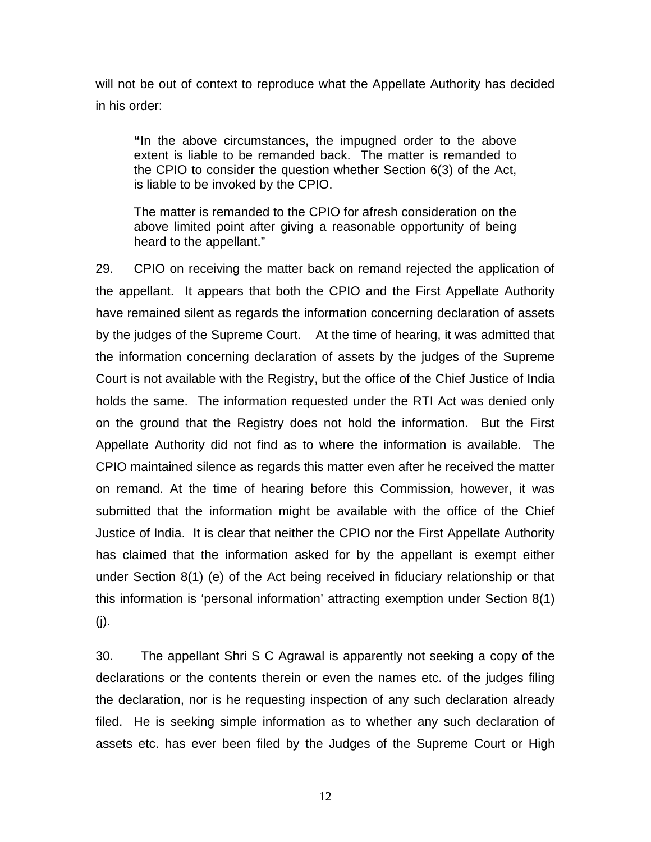will not be out of context to reproduce what the Appellate Authority has decided in his order:

**"**In the above circumstances, the impugned order to the above extent is liable to be remanded back. The matter is remanded to the CPIO to consider the question whether Section 6(3) of the Act, is liable to be invoked by the CPIO.

The matter is remanded to the CPIO for afresh consideration on the above limited point after giving a reasonable opportunity of being heard to the appellant."

29. CPIO on receiving the matter back on remand rejected the application of the appellant. It appears that both the CPIO and the First Appellate Authority have remained silent as regards the information concerning declaration of assets by the judges of the Supreme Court. At the time of hearing, it was admitted that the information concerning declaration of assets by the judges of the Supreme Court is not available with the Registry, but the office of the Chief Justice of India holds the same. The information requested under the RTI Act was denied only on the ground that the Registry does not hold the information. But the First Appellate Authority did not find as to where the information is available. The CPIO maintained silence as regards this matter even after he received the matter on remand. At the time of hearing before this Commission, however, it was submitted that the information might be available with the office of the Chief Justice of India. It is clear that neither the CPIO nor the First Appellate Authority has claimed that the information asked for by the appellant is exempt either under Section 8(1) (e) of the Act being received in fiduciary relationship or that this information is 'personal information' attracting exemption under Section 8(1) (j).

30. The appellant Shri S C Agrawal is apparently not seeking a copy of the declarations or the contents therein or even the names etc. of the judges filing the declaration, nor is he requesting inspection of any such declaration already filed. He is seeking simple information as to whether any such declaration of assets etc. has ever been filed by the Judges of the Supreme Court or High